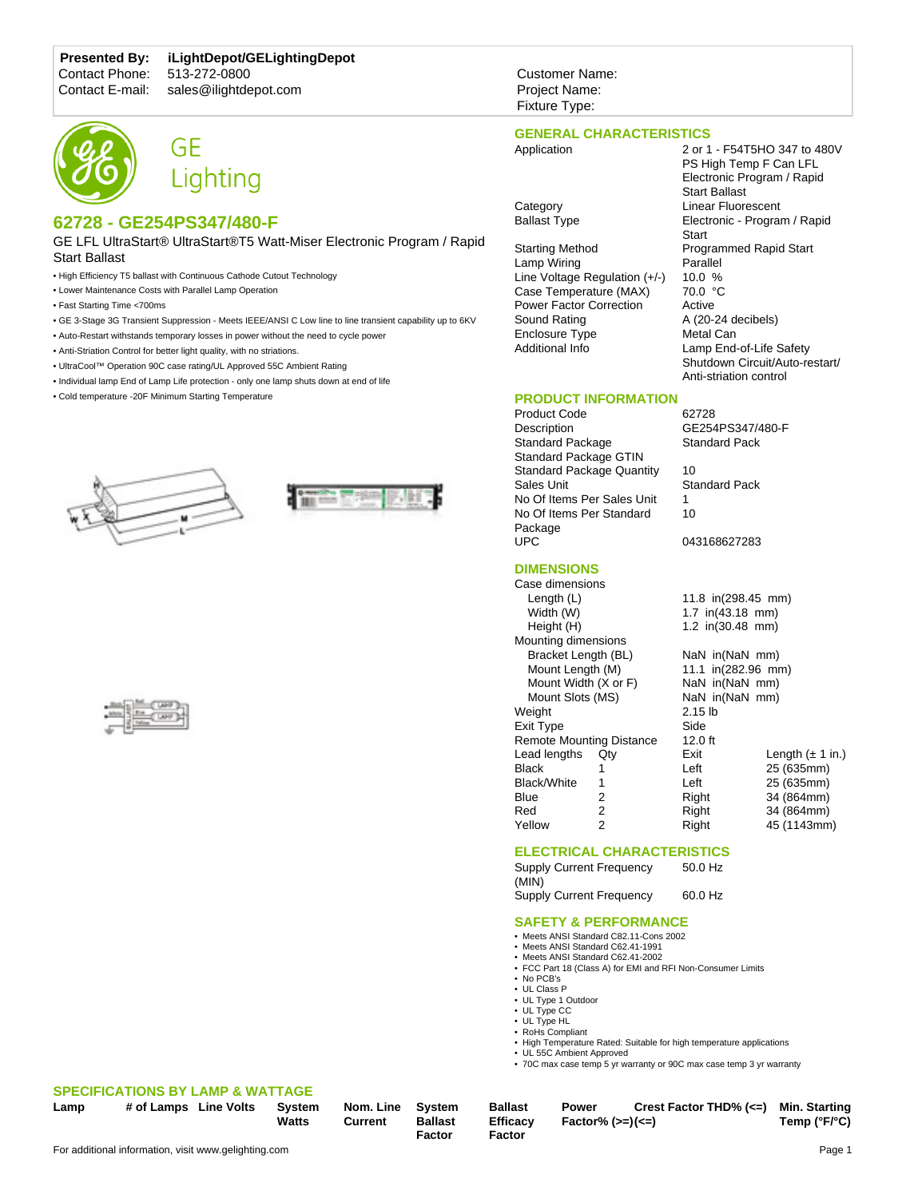# **Presented By: iLightDepot/GELightingDepot**

Contact Phone: 513-272-0800<br>Contact E-mail: sales@ilightde

# sales@ilightdepot.com





# **62728 - GE254PS347/480-F**

GE LFL UltraStart® UltraStart®T5 Watt-Miser Electronic Program / Rapid Start Ballast

- High Efficiency T5 ballast with Continuous Cathode Cutout Technology
- Lower Maintenance Costs with Parallel Lamp Operation
- Fast Starting Time <700ms
- GE 3-Stage 3G Transient Suppression Meets IEEE/ANSI C Low line to line transient capability up to 6KV
- Auto-Restart withstands temporary losses in power without the need to cycle power
- Anti-Striation Control for better light quality, with no striations.
- UltraCool™ Operation 90C case rating/UL Approved 55C Ambient Rating
- Individual lamp End of Lamp Life protection only one lamp shuts down at end of life
- Cold temperature -20F Minimum Starting Temperature







# **SPECIFICATIONS BY LAMP & WATTAGE**

**Lamp # of Lamps Line Volts System Watts**

| Nom. Line |  |
|-----------|--|
| Current   |  |

**Factor**

**System Ballast**

**Ballast Efficacy Factor Power Factor% (>=) (<=)**

**Crest Factor THD% (<=) Min. Starting Temp (°F/°C)**

#### **GENERAL CHARACTERISTICS** Application 2 or 1 - F54T5HO 347 to 480V

PS High Temp F Can LFL Electronic Program / Rapid

Start Ballast

A (20-24 decibels)

GE254PS347/480-F

Shutdown Circuit/Auto-restart/ Anti-striation control

**Start** 

Customer Name: Project Name: Fixture Type:

Category **Linear Fluorescent** Ballast Type **Electronic - Program / Rapid** 

Starting Method Programmed Rapid Start Lamp Wiring Parallel<br>Line Voltage Regulation (+/-) 10.0 % Line Voltage Regulation (+/-) Case Temperature (MAX) 70.0 °C Power Factor Correction Active<br>Sound Rating A (20-Enclosure Type Metal Can Additional Info Lamp End-of-Life Safety

#### **PRODUCT INFORMATION**

Product Code 62728<br>Description 6E254 Standard Package **Standard Pack** Standard Package GTIN Standard Package Quantity 10 Sales Unit Standard Pack No Of Items Per Sales Unit 1 No Of Items Per Standard Package UPC 043168627283

## **DIMENSIONS**

Case dimensions Length (L) 11.8 in(298.45 mm) Width (W) 1.7 in(43.18 mm) Height (H) 1.2 in(30.48 mm) Mounting dimensions Bracket Length (BL) NaN in(NaN mm) Mount Length (M) 11.1 in(282.96 mm) Mount Width (X or F) NaN in(NaN mm) Mount Slots (MS) NaN in (NaN mm) Weight 2.15 lb Exit Type Side<br>Remote Mounting Distance 12.0 ft Remote Mounting Distance Lead lengths Qty Black 1 Black/White 1 Blue 2 Red 2 Yellow 2 Exit Length  $(\pm 1 \text{ in.})$ Left 25 (635mm) Left 25 (635mm) Right 34 (864mm) Right 34 (864mm) Right 45 (1143mm)

10

### **ELECTRICAL CHARACTERISTICS**

Supply Current Frequency (MIN) 50.0 Hz Supply Current Frequency 60.0 Hz

# **SAFETY & PERFORMANCE**

• Meets ANSI Standard C82.11-Cons 2002

- Meets ANSI Standard C62.41-1991
- Meets ANSI Standard C62.41-2002
- FCC Part 18 (Class A) for EMI and RFI Non-Consumer Limits • No PCB's
- UL Class P
- UL Type 1 Outdoor
- UL Type CC
- UL Type HL
- RoHs Compliant
- High Temperature Rated: Suitable for high temperature applications
- UL 55C Ambient Approved
- 70C max case temp 5 yr warranty or 90C max case temp 3 yr warranty